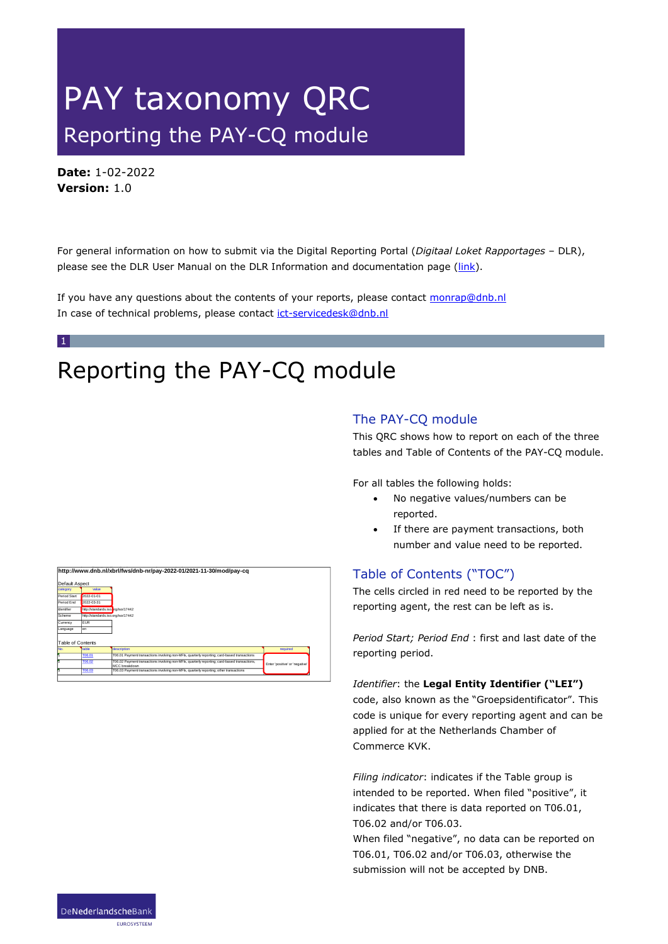# PAY taxonomy QRC Reporting the PAY-CQ module

**Date:** 1-02-2022 **Version:** 1.0

1

For general information on how to submit via the Digital Reporting Portal (*Digitaal Loket Rapportages* – DLR), please see the DLR User Manual on the DLR Information and documentation page [\(link\)](https://www.dnb.nl/en/login/dlr/information-and-documentation/).

If you have any questions about the contents of your reports, please contact [monrap@dnb.nl](mailto:monrap@dnb.nl) In case of technical problems, please contact [ict-servicedesk@dnb.nl](mailto:ict-servicedesk@dnb.nl)

# Reporting the PAY-CQ module

### The PAY-CQ module

This QRC shows how to report on each of the three tables and Table of Contents of the PAY-CQ module.

For all tables the following holds:

- No negative values/numbers can be reported.
- If there are payment transactions, both number and value need to be reported.

# Table of Contents ("TOC")

The cells circled in red need to be reported by the reporting agent, the rest can be left as is.

*Period Start; Period End* : first and last date of the reporting period.

#### *Identifier*: the **Legal Entity Identifier ("LEI")**

code, also known as the "Groepsidentificator". This code is unique for every reporting agent and can be applied for at the Netherlands Chamber of Commerce KVK.

*Filing indicator*: indicates if the Table group is intended to be reported. When filed "positive", it indicates that there is data reported on T06.01, T06.02 and/or T06.03.

When filed "negative", no data can be reported on T06.01, T06.02 and/or T06.03, otherwise the submission will not be accepted by DNB.

|                          |                                    | http://www.dnb.nl/xbrl/fws/dnb-nr/pay-2022-01/2021-11-30/mod/pay-cq                                            |                                |
|--------------------------|------------------------------------|----------------------------------------------------------------------------------------------------------------|--------------------------------|
| Default Aspect           |                                    |                                                                                                                |                                |
| category                 | value                              |                                                                                                                |                                |
| Period Start             | 2022-01-01                         |                                                                                                                |                                |
| Period End               | 2022-03-31                         |                                                                                                                |                                |
| Identifier               | http://standards.iso.brg/iso/17442 |                                                                                                                |                                |
| Scheme                   | http://standards.iso.org/iso/17442 |                                                                                                                |                                |
| Currency                 | <b>EUR</b>                         |                                                                                                                |                                |
| Language                 | len.                               |                                                                                                                |                                |
| Table of Contents<br>No. | table                              | description                                                                                                    | required                       |
| И                        | <b>T06.01</b>                      | T06.01 Payment transactions involving non-MFIs, quarterly reporting; card-based transactions                   |                                |
| E                        | <b>T06.02</b>                      | T06.02 Payment transactions involving non-MFIs, quarterly reporting; card-based transactions,<br>MCC breakdown | Enter 'positive' or 'negative' |
| A                        | T06.03                             | T06.03 Payment transactions involving non-MFIs, quarterly reporting; other transactions                        |                                |

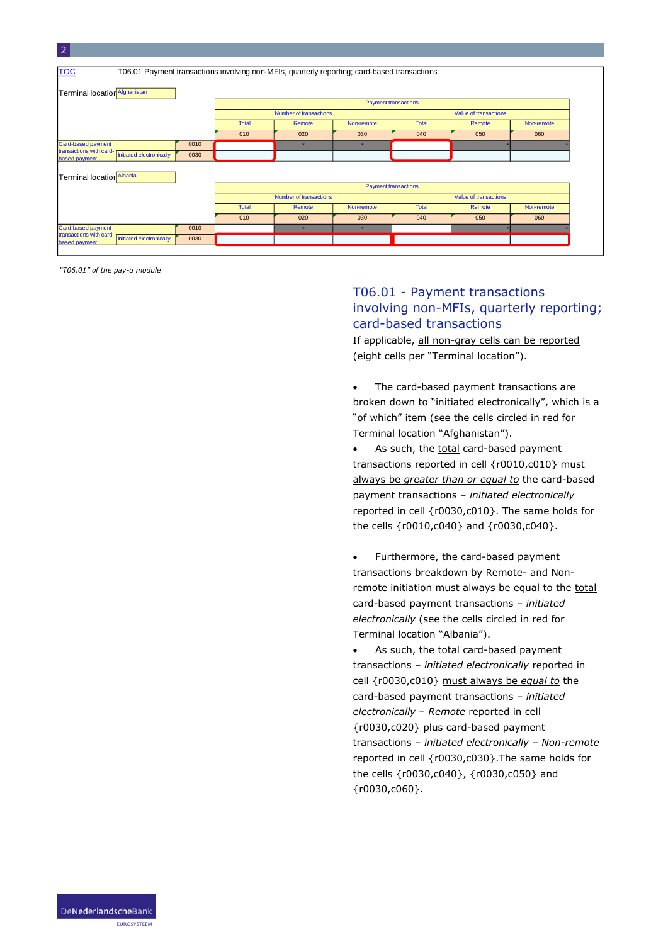| <b>TOC</b>                                                                  |      |                                                        |         | T06.01 Payment transactions involving non-MFIs, quarterly reporting; card-based transactions |                             |        |            |  |
|-----------------------------------------------------------------------------|------|--------------------------------------------------------|---------|----------------------------------------------------------------------------------------------|-----------------------------|--------|------------|--|
| Terminal location Afghanistan                                               |      |                                                        |         |                                                                                              |                             |        |            |  |
|                                                                             |      | <b>Payment transactions</b>                            |         |                                                                                              |                             |        |            |  |
|                                                                             |      | <b>Number of transactions</b><br>Value of transactions |         |                                                                                              |                             |        |            |  |
|                                                                             |      | <b>Total</b>                                           | Remote  | Non-remote                                                                                   | <b>Total</b>                | Remote | Non-remote |  |
|                                                                             |      | 010                                                    | 020     | 030                                                                                          | 040                         | 050    | 060        |  |
| Card-based payment                                                          | 0010 |                                                        | $\star$ | $\star$                                                                                      |                             |        |            |  |
| transactions with card-<br><b>Initiated electronically</b><br>based payment | 0030 |                                                        |         |                                                                                              |                             |        |            |  |
|                                                                             |      |                                                        |         |                                                                                              |                             |        |            |  |
| Terminal location Albania                                                   |      |                                                        |         |                                                                                              |                             |        |            |  |
|                                                                             |      |                                                        |         |                                                                                              | <b>Payment transactions</b> |        |            |  |
|                                                                             |      | Number of transactions<br>Value of transactions        |         |                                                                                              |                             |        |            |  |
|                                                                             |      | <b>Total</b>                                           | Remote  | Non-remote                                                                                   | <b>Total</b>                | Remote | Non-remote |  |
|                                                                             |      | 010                                                    | 020     | 030                                                                                          | 040                         | 050    | 060        |  |
| Card-based payment                                                          | 0010 |                                                        | $\star$ | $\star$                                                                                      |                             |        |            |  |
| transactions with card-<br>Initiated electronically                         | 0030 |                                                        |         |                                                                                              |                             |        |            |  |

*"T06.01" of the pay-q module*

# T06.01 - Payment transactions involving non-MFIs, quarterly reporting; card-based transactions

If applicable, all non-gray cells can be reported (eight cells per "Terminal location").

The card-based payment transactions are broken down to "initiated electronically", which is a "of which" item (see the cells circled in red for Terminal location "Afghanistan").

As such, the total card-based payment transactions reported in cell {r0010,c010} must always be *greater than or equal to* the card-based payment transactions – *initiated electronically* reported in cell {r0030,c010}. The same holds for the cells {r0010,c040} and {r0030,c040}.

• Furthermore, the card-based payment transactions breakdown by Remote- and Nonremote initiation must always be equal to the total card-based payment transactions – *initiated electronically* (see the cells circled in red for Terminal location "Albania").

• As such, the total card-based payment transactions – *initiated electronically* reported in cell {r0030,c010} must always be *equal to* the card-based payment transactions – *initiated electronically* – *Remote* reported in cell {r0030,c020} plus card-based payment transactions – *initiated electronically* – *Non-remote* reported in cell {r0030,c030}.The same holds for the cells {r0030,c040}, {r0030,c050} and {r0030,c060}.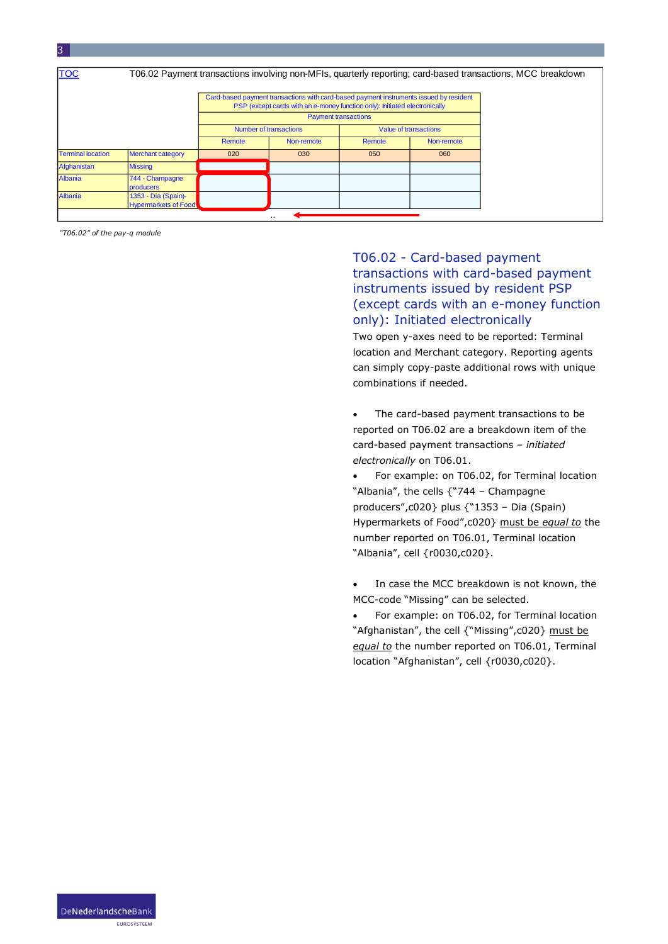| <b>TOC</b>               |                                                    |                        |                                                                                                                                                                      |        |                       | T06.02 Payment transactions involving non-MFIs, quarterly reporting; card-based transactions, MCC breakdown |
|--------------------------|----------------------------------------------------|------------------------|----------------------------------------------------------------------------------------------------------------------------------------------------------------------|--------|-----------------------|-------------------------------------------------------------------------------------------------------------|
|                          |                                                    |                        | Card-based payment transactions with card-based payment instruments issued by resident<br>PSP (except cards with an e-money function only): Initiated electronically |        |                       |                                                                                                             |
|                          |                                                    |                        | <b>Payment transactions</b>                                                                                                                                          |        |                       |                                                                                                             |
|                          |                                                    | Number of transactions |                                                                                                                                                                      |        | Value of transactions |                                                                                                             |
|                          |                                                    | Remote                 | Non-remote                                                                                                                                                           | Remote | Non-remote            |                                                                                                             |
| <b>Terminal location</b> | <b>Merchant category</b>                           | 020                    | 030                                                                                                                                                                  | 050    | 060                   |                                                                                                             |
| Afghanistan              | <b>Missing</b>                                     |                        |                                                                                                                                                                      |        |                       |                                                                                                             |
| Albania                  | 744 - Champagne<br>producers                       |                        |                                                                                                                                                                      |        |                       |                                                                                                             |
| Albania                  | 1353 - Dia (Spain)-<br><b>Hypermarkets of Food</b> |                        |                                                                                                                                                                      |        |                       |                                                                                                             |

. .

*"T06.02" of the pay-q module*

# T06.02 - Card-based payment transactions with card-based payment instruments issued by resident PSP (except cards with an e-money function only): Initiated electronically

Two open y-axes need to be reported: Terminal location and Merchant category. Reporting agents can simply copy-paste additional rows with unique combinations if needed.

- The card-based payment transactions to be reported on T06.02 are a breakdown item of the card-based payment transactions – *initiated electronically* on T06.01.
- For example: on T06.02, for Terminal location "Albania", the cells {"744 – Champagne producers",c020} plus {"1353 – Dia (Spain) Hypermarkets of Food",c020} must be *equal to* the number reported on T06.01, Terminal location "Albania", cell {r0030,c020}.
- In case the MCC breakdown is not known, the MCC-code "Missing" can be selected.
- For example: on T06.02, for Terminal location "Afghanistan", the cell {"Missing",c020} must be *equal to* the number reported on T06.01, Terminal location "Afghanistan", cell {r0030,c020}.